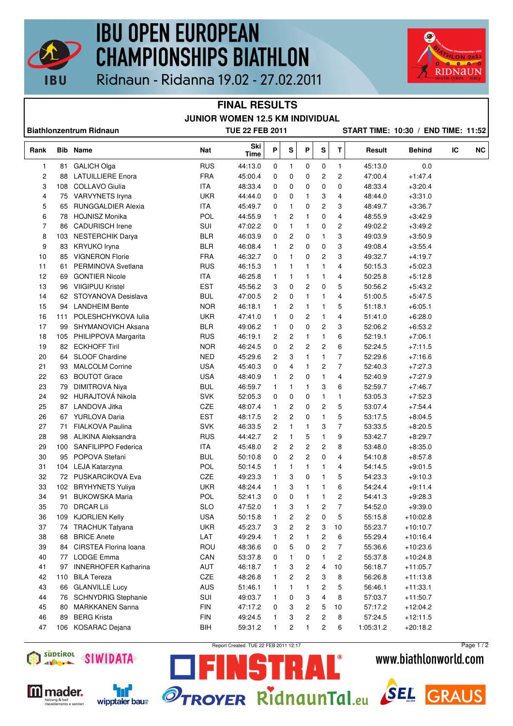

## **IBU OPEN EUROPEAN CHAMPIONSHIPS BIATHLON**



Ridnaun - Ridanna 19.02 - 27.02.2011

### **FINAL RESULTS JUNIOR WOMEN 12.5 KM INDIVIDUAL**

| <b>Biathlonzentrum Ridnaun</b> |     |                                            |            | <b>TUE 22 FEB 2011</b> |                |                |                |              |                |                    | START TIME: 10:30 / END TIME: 11:52 |    |           |
|--------------------------------|-----|--------------------------------------------|------------|------------------------|----------------|----------------|----------------|--------------|----------------|--------------------|-------------------------------------|----|-----------|
| Rank                           |     | <b>Bib Name</b>                            | Nat        | Ski<br>Time            | P              | S              | P              | ${\sf s}$    | T              | <b>Result</b>      | <b>Behind</b>                       | IC | <b>NC</b> |
| 1                              | 81  | <b>GALICH Olga</b>                         | <b>RUS</b> | 44:13.0                | 0              | $\mathbf{1}$   | 0              | 0            | $\mathbf{1}$   | 45:13.0            | 0.0                                 |    |           |
| 2                              | 88  | <b>LATUILLIERE</b> Enora                   | <b>FRA</b> | 45:00.4                | 0              | 0              | 0              | 2            | 2              | 47:00.4            | $+1.47.4$                           |    |           |
| 3                              | 108 | COLLAVO Giulia                             | <b>ITA</b> | 48:33.4                | 0              | 0              | 0              | 0            | 0              | 48:33.4            | $+3:20.4$                           |    |           |
| 4                              | 75  | VARVYNETS Iryna                            | <b>UKR</b> | 44:44.0                | 0              | 0              | 1              | 3            | 4              | 48:44.0            | $+3.31.0$                           |    |           |
| 5                              | 65  | <b>RUNGGALDIER Alexia</b>                  | <b>ITA</b> | 45:49.7                | 0              | 1              | 0              | 2            | 3              | 48:49.7            | $+3.36.7$                           |    |           |
| 6                              | 78  | <b>HOJNISZ Monika</b>                      | <b>POL</b> | 44:55.9                | $\mathbf{1}$   | 2              | 1              | 0            | 4              | 48:55.9            | $+3.42.9$                           |    |           |
| $\overline{7}$                 | 86  | <b>CADURISCH Irene</b>                     | <b>SUI</b> | 47:02.2                | 0              | 1              | 1              | 0            | 2              | 49:02.2            | $+3:49.2$                           |    |           |
| 8                              | 103 | <b>NESTERCHIK Darya</b>                    | <b>BLR</b> | 46:03.9                | 0              | 2              | 0              | 1            | 3              | 49:03.9            | $+3.50.9$                           |    |           |
| 9                              | 83  | KRYUKO Iryna                               | <b>BLR</b> | 46:08.4                | $\mathbf{1}$   | 2              | 0              | 0            | 3              | 49:08.4            | $+3.55.4$                           |    |           |
| 10                             | 85  | <b>VIGNERON Florie</b>                     | <b>FRA</b> | 46:32.7                | 0              | 1              | 0              | 2            | 3              | 49:32.7            | $+4.19.7$                           |    |           |
| 11                             | 61  | PERMINOVA Svetlana                         | <b>RUS</b> | 46:15.3                | 1              | 1              | 1              | 1            | 4              | 50:15.3            | $+5:02.3$                           |    |           |
| 12                             | 69  | <b>GONTIER Nicole</b>                      | <b>ITA</b> | 46:25.8                | 1              | 1              | 1              | 1            | 4              | 50:25.8            | $+5:12.8$                           |    |           |
| 13                             | 96  | <b>VIIGIPUU Kristel</b>                    | <b>EST</b> | 45:56.2                | 3              | 0              | $\overline{c}$ | 0            | 5              | 50:56.2            | $+5:43.2$                           |    |           |
| 14                             |     | 62 STOYANOVA Desislava                     | <b>BUL</b> | 47:00.5                | 2              | $\mathbf 0$    | $\mathbf{1}$   | 1            | 4              | 51:00.5            | $+5.47.5$                           |    |           |
| 15                             | 94  | <b>LANDHEIM Bente</b>                      | <b>NOR</b> | 46:18.1                | $\mathbf{1}$   | 2              | $\mathbf{1}$   | 1            | 5              | 51:18.1            | $+6:05.1$                           |    |           |
| 16                             | 111 | POLESHCHYKOVA lulia                        | <b>UKR</b> | 47:41.0                | $\mathbf{1}$   | 0              | 2              | 1            | 4              | 51:41.0            | $+6.28.0$                           |    |           |
| 17                             | 99  | SHYMANOVICH Aksana                         | <b>BLR</b> | 49:06.2                | $\mathbf{1}$   | $\mathbf 0$    | 0              | 2            | 3              | 52:06.2            | $+6:53.2$                           |    |           |
| 18                             | 105 | PHILIPPOVA Margarita                       | <b>RUS</b> | 46:19.1                | 2              | $\overline{c}$ | 1              | 1            | 6              | 52:19.1            | $+7:06.1$                           |    |           |
| 19                             | 82  | <b>ECKHOFF Tiril</b>                       | <b>NOR</b> | 46:24.5                | 0              | $\overline{c}$ | $\overline{c}$ | 2            | 6              | 52:24.5            | $+7:11.5$                           |    |           |
| 20                             | 64  | SLOOF Chardine                             | <b>NED</b> | 45:29.6                | 2              | 3              | 1              | 1            | 7              | 52:29.6            | $+7.16.6$                           |    |           |
| 21                             | 93  | <b>MALCOLM Corrine</b>                     | <b>USA</b> | 45:40.3                | 0              | 4              | 1              | 2            | 7              | 52:40.3            | $+7:27.3$                           |    |           |
| 22                             | 63  | <b>BOUTOT Grace</b>                        | <b>USA</b> | 48:40.9                | 1              | 2              | 0              | 1            | 4              | 52:40.9            | $+7:27.9$                           |    |           |
| 23                             | 79  | <b>DIMITROVA Niya</b>                      | <b>BUL</b> | 46:59.7                | 1              | 1              | 1              | 3            | 6              | 52:59.7            | $+7:46.7$                           |    |           |
| 24                             | 92  | HURAJTOVÁ Nikola                           | <b>SVK</b> | 52:05.3                | 0              | 0              | 0              | 1            | 1              | 53:05.3            | $+7:52.3$                           |    |           |
| 25                             |     | 87 LANDOVA Jitka                           | CZE        | 48:07.4                | 1              | 2              | 0              | 2            | 5              | 53:07.4            | $+7.54.4$                           |    |           |
| 26                             |     | 67 YURLOVA Daria                           | <b>EST</b> | 48:17.5                | $\overline{c}$ | 2              | 0              | $\mathbf{1}$ | 5              | 53:17.5            | $+8:04.5$                           |    |           |
| 27                             | 71  | FIALKOVA Paulina                           | <b>SVK</b> | 46:33.5                | 2              | 1              | 1              | 3            | $\overline{7}$ | 53:33.5            | $+8:20.5$                           |    |           |
| 28                             | 98  | ALIKINA Aleksandra                         | <b>RUS</b> | 44:42.7                | $\overline{c}$ | 1              | 5              | 1            | 9              | 53:42.7            | $+8:29.7$                           |    |           |
| 29                             | 100 | SANFILIPPO Federica                        | ITA        | 45:48.0                | $\overline{c}$ | 2              | 2              | 2            | 8              | 53:48.0            | $+8.35.0$                           |    |           |
| 30                             | 95  | POPOVA Stefani                             | <b>BUL</b> | 50:10.8                | 0              | 2              | 2              | 0            | 4              | 54:10.8            | $+8.57.8$                           |    |           |
| 31                             | 104 | LEJA Katarzyna                             | POL        | 50:14.5                | 1              | 1              | 1              | 1            | 4              | 54:14.5            | $+9:01.5$                           |    |           |
| 32                             | 72  | PUSKARCIKOVA Eva                           | <b>CZE</b> | 49:23.3                | 1              | 3              | 0              | 1            | 5              | 54:23.3            | $+9:10.3$                           |    |           |
| 33                             | 102 | <b>BRYHYNETS Yuliya</b>                    | <b>UKR</b> | 48:24.4                | 1              | 3              | 1              | 1            | 6              | 54:24.4            | $+9:11.4$                           |    |           |
| 34                             | 91  | <b>BUKOWSKA Maria</b>                      | POL        | 52:41.3                | 0              | $\mathbf 0$    | 1              | 1            | 2              | 54:41.3            | $+9:28.3$                           |    |           |
| 35                             | 70  | DRCAR Lili                                 | <b>SLO</b> | 47:52.0                | 1              | 3              | 1              | 2            | $\overline{7}$ | 54:52.0            | $+9:39.0$                           |    |           |
|                                |     | 109 KJORLIEN Kelly                         | <b>USA</b> | 50:15.8                |                |                | 2              | 0            | 5              | 55:15.8            | $+10:02.8$                          |    |           |
| 36<br>37                       |     | 74 TRACHUK Tatyana                         | <b>UKR</b> | 45:23.7                | 1              | 2              | 2              |              |                |                    |                                     |    |           |
|                                |     | <b>BRICE Anete</b>                         | LAT        |                        | 3              | 2<br>2         | 1              | 3            | 10             | 55:23.7<br>55:29.4 | $+10:10.7$                          |    |           |
| 38                             | 68  |                                            |            | 49:29.4                |                |                |                | 2            | 6<br>7         |                    | $+10:16.4$                          |    |           |
| 39                             | 84  | CIRSTEA Florina Ioana<br><b>LODGE Emma</b> | ROU        | 48:36.6<br>53:37.8     | 0              | 5              | 0              | 2            |                | 55:36.6            | $+10:23.6$                          |    |           |
| 40                             | 77  |                                            | CAN        |                        | 0              | 1              | 0              | 1            | 2              | 55:37.8            | $+10:24.8$                          |    |           |
| 41                             | 97  | <b>INNERHOFER Katharina</b>                | AUT        | 46:18.7                |                | 3              | 2              | 4            | $10$           | 56:18.7            | $+11:05.7$                          |    |           |
| 42                             | 110 | <b>BILA Tereza</b>                         | CZE        | 48:26.8                |                | 2              | 2              | 3            | 8              | 56:26.8            | $+11:13.8$                          |    |           |
| 43                             | 66  | <b>GLANVILLE Lucy</b>                      | <b>AUS</b> | 51:46.1                |                | 1              | 1              | 2            | 5              | 56:46.1            | $+11:33.1$                          |    |           |
| 44                             | 76  | <b>SCHNYDRIG Stephanie</b>                 | SUI        | 49:03.7                | 1              | 0              | 3              | 4            | 8              | 57:03.7            | $+11:50.7$                          |    |           |
| 45                             | 80  | <b>MARKKANEN Sanna</b>                     | <b>FIN</b> | 47:17.2                | 0              | 3              | 2              | 5            | 10             | 57:17.2            | $+12:04.2$                          |    |           |
| 46                             | 89  | <b>BERG Krista</b>                         | <b>FIN</b> | 49:24.5                | 1              | 3              | 2              | 2            | 8              | 57:24.5            | $+12:11.5$                          |    |           |
| 47                             |     | 106 KOSARAC Dejana                         | BIH        | 59:31.2                | 1              | $\overline{c}$ | $\mathbf{1}$   | 2            | 6              | 1:05:31.2          | $+20:18.2$                          |    |           |







Report Created TUE 22 FEB 2011 12:17

÷

Page 1 / 2

## www.biathlonworld.com